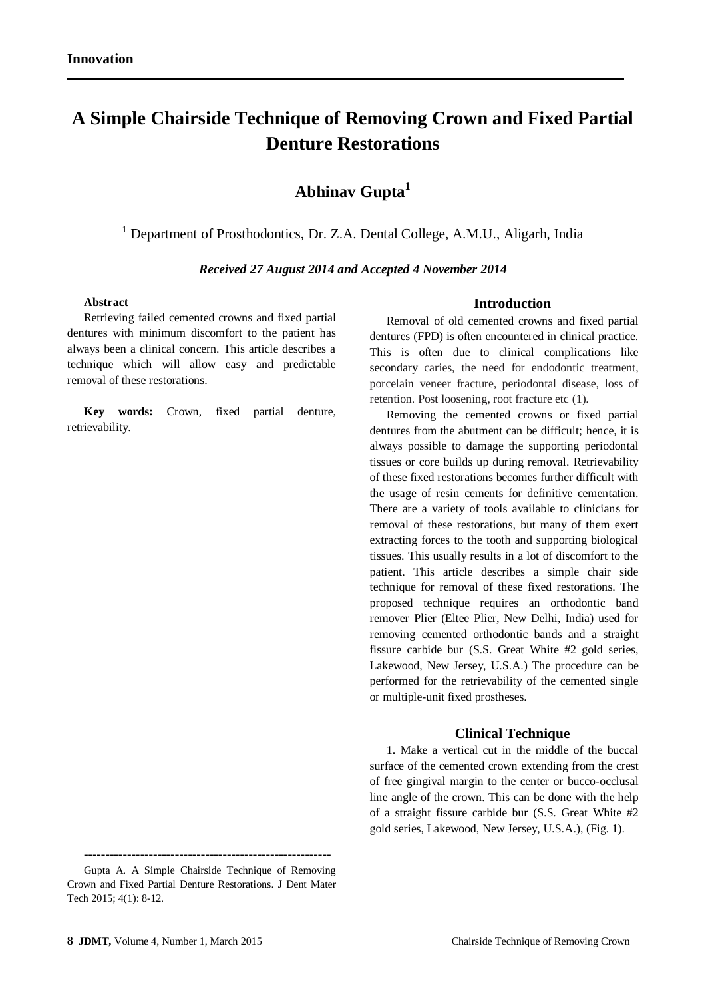# **A Simple Chairside Technique of Removing Crown and Fixed Partial Denture Restorations**

# **Abhinav Gupta<sup>1</sup>**

<sup>1</sup> Department of Prosthodontics, Dr. Z.A. Dental College, A.M.U., Aligarh, India

#### *Received 27 August 2014 and Accepted 4 November 2014*

#### **Abstract**

Retrieving failed cemented crowns and fixed partial dentures with minimum discomfort to the patient has always been a clinical concern. This article describes a technique which will allow easy and predictable removal of these restorations.

**Key words:** Crown, fixed partial denture, retrievability.

#### **Introduction**

Removal of old cemented crowns and fixed partial dentures (FPD) is often encountered in clinical practice. This is often due to clinical complications like secondary caries, the need for endodontic treatment, porcelain veneer fracture, periodontal disease, loss of retention. Post loosening, root fracture etc (1).

Removing the cemented crowns or fixed partial dentures from the abutment can be difficult; hence, it is always possible to damage the supporting periodontal tissues or core builds up during removal. Retrievability of these fixed restorations becomes further difficult with the usage of resin cements for definitive cementation. There are a variety of tools available to clinicians for removal of these restorations, but many of them exert extracting forces to the tooth and supporting biological tissues. This usually results in a lot of discomfort to the patient. This article describes a simple chair side technique for removal of these fixed restorations. The proposed technique requires an orthodontic band remover Plier (Eltee Plier, New Delhi, India) used for removing cemented orthodontic bands and a straight fissure carbide bur (S.S. Great White #2 gold series, Lakewood, New Jersey, U.S.A.) The procedure can be performed for the retrievability of the cemented single or multiple-unit fixed prostheses.

#### **Clinical Technique**

1. Make a vertical cut in the middle of the buccal surface of the cemented crown extending from the crest of free gingival margin to the center or bucco-occlusal line angle of the crown. This can be done with the help of a straight fissure carbide bur (S.S. Great White #2 gold series, Lakewood, New Jersey, U.S.A.), (Fig. 1).

**<sup>---------------------------------------------------------</sup>**

Gupta A. A Simple Chairside Technique of Removing Crown and Fixed Partial Denture Restorations. J Dent Mater Tech 2015; 4(1): 8-12.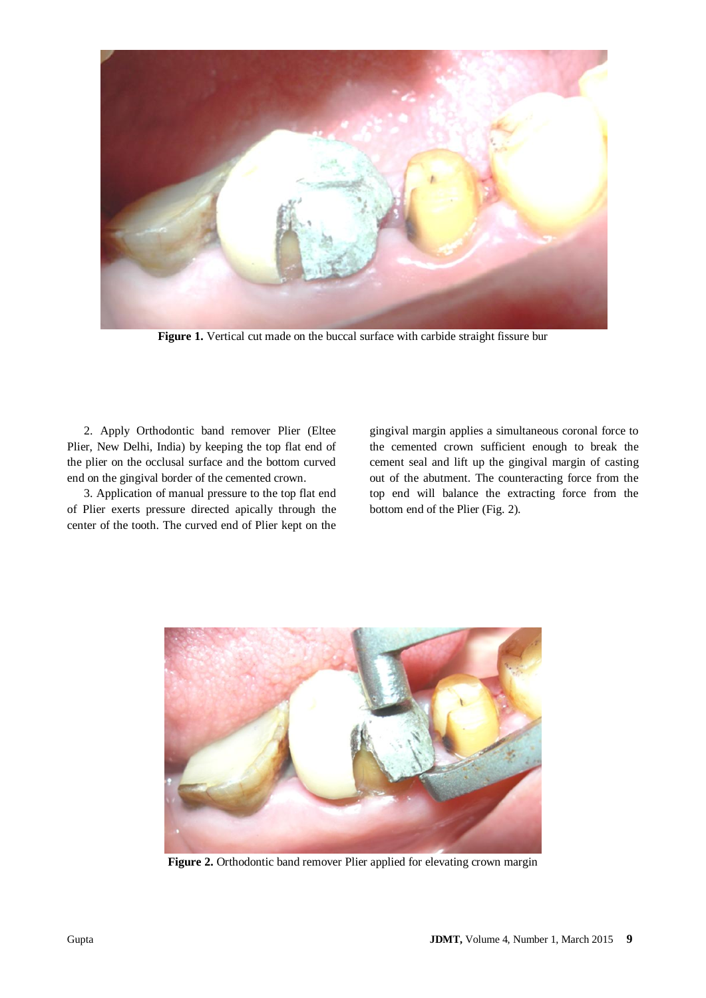

**Figure 1.** Vertical cut made on the buccal surface with carbide straight fissure bur

2. Apply Orthodontic band remover Plier (Eltee Plier, New Delhi, India) by keeping the top flat end of the plier on the occlusal surface and the bottom curved end on the gingival border of the cemented crown.

3. Application of manual pressure to the top flat end of Plier exerts pressure directed apically through the center of the tooth. The curved end of Plier kept on the

gingival margin applies a simultaneous coronal force to the cemented crown sufficient enough to break the cement seal and lift up the gingival margin of casting out of the abutment. The counteracting force from the top end will balance the extracting force from the bottom end of the Plier (Fig. 2).



**Figure 2.** Orthodontic band remover Plier applied for elevating crown margin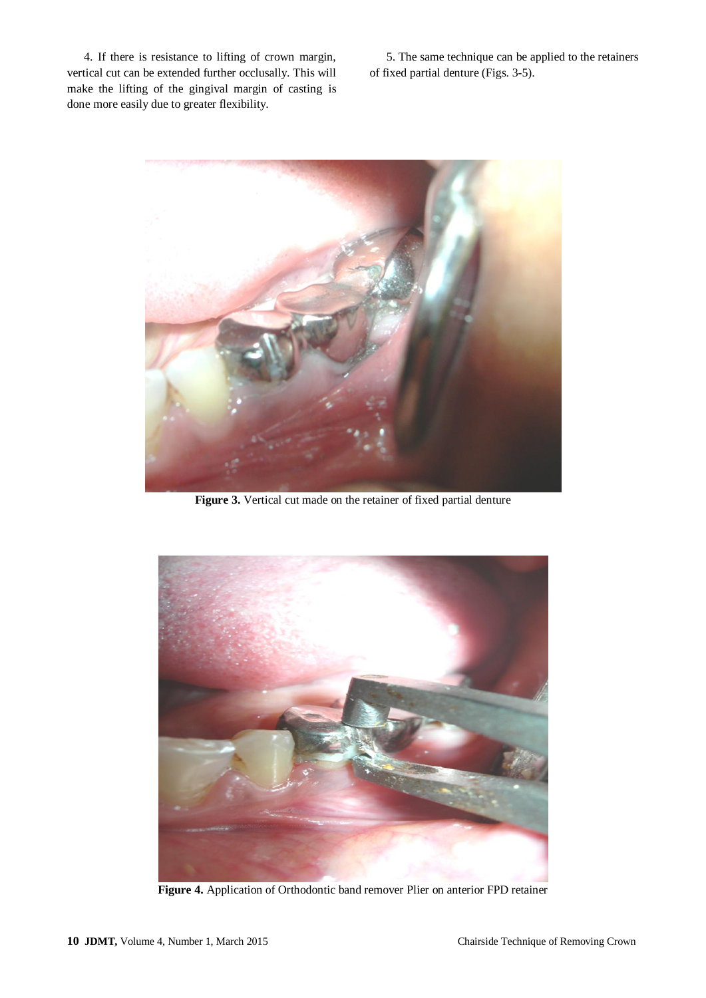4. If there is resistance to lifting of crown margin, vertical cut can be extended further occlusally. This will make the lifting of the gingival margin of casting is done more easily due to greater flexibility.

5. The same technique can be applied to the retainers of fixed partial denture (Figs. 3-5).



**Figure 3.** Vertical cut made on the retainer of fixed partial denture



**Figure 4.** Application of Orthodontic band remover Plier on anterior FPD retainer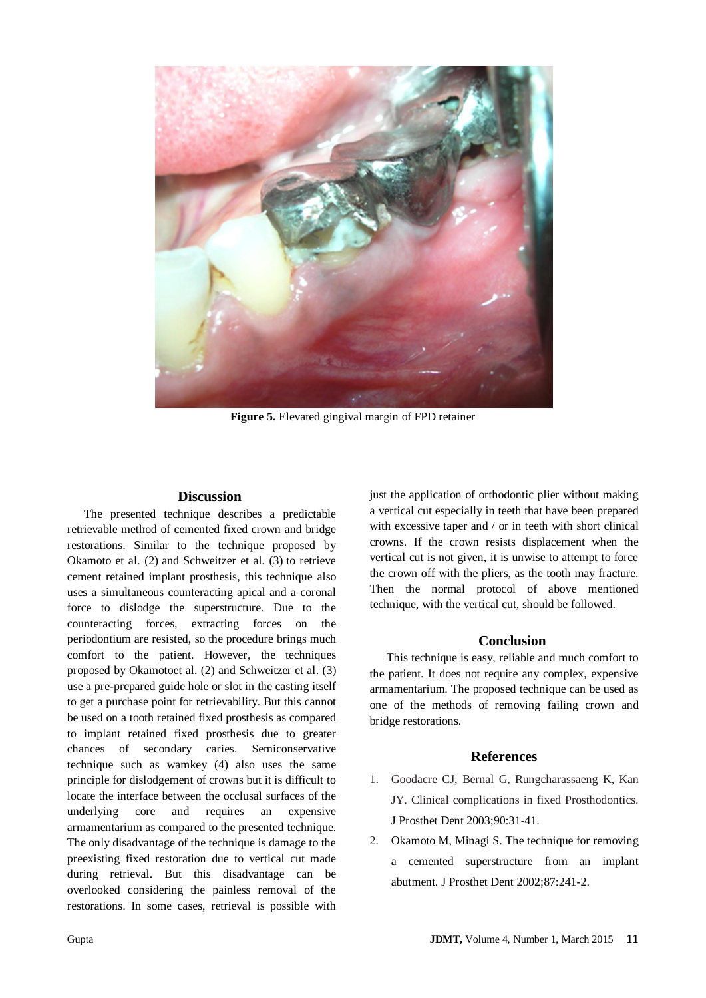

**Figure 5.** Elevated gingival margin of FPD retainer

#### **Discussion**

The presented technique describes a predictable retrievable method of cemented fixed crown and bridge restorations. Similar to the technique proposed by Okamoto et al. (2) and Schweitzer et al. (3) to retrieve cement retained implant prosthesis, this technique also uses a simultaneous counteracting apical and a coronal force to dislodge the superstructure. Due to the counteracting forces, extracting forces on the periodontium are resisted, so the procedure brings much comfort to the patient. However, the techniques proposed by Okamotoet al. (2) and Schweitzer et al. (3) use a pre-prepared guide hole or slot in the casting itself to get a purchase point for retrievability. But this cannot be used on a tooth retained fixed prosthesis as compared to implant retained fixed prosthesis due to greater chances of secondary caries. Semiconservative technique such as wamkey (4) also uses the same principle for dislodgement of crowns but it is difficult to locate the interface between the occlusal surfaces of the underlying core and requires an expensive armamentarium as compared to the presented technique. The only disadvantage of the technique is damage to the preexisting fixed restoration due to vertical cut made during retrieval. But this disadvantage can be overlooked considering the painless removal of the restorations. In some cases, retrieval is possible with

just the application of orthodontic plier without making a vertical cut especially in teeth that have been prepared with excessive taper and / or in teeth with short clinical crowns. If the crown resists displacement when the vertical cut is not given, it is unwise to attempt to force the crown off with the pliers, as the tooth may fracture. Then the normal protocol of above mentioned technique, with the vertical cut, should be followed.

# **Conclusion**

This technique is easy, reliable and much comfort to the patient. It does not require any complex, expensive armamentarium. The proposed technique can be used as one of the methods of removing failing crown and bridge restorations.

### **References**

- 1. Goodacre CJ, Bernal G, Rungcharassaeng K, Kan JY. Clinical complications in fixed Prosthodontics. J Prosthet Dent 2003;90:31-41.
- 2. Okamoto M, Minagi S. The technique for removing a cemented superstructure from an implant abutment. J Prosthet Dent 2002;87:241-2.